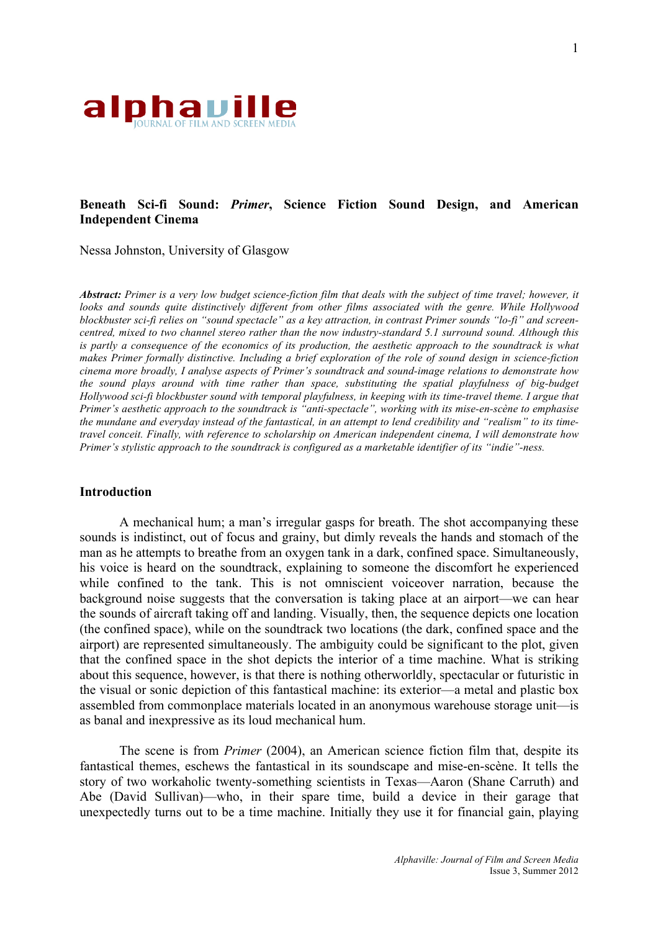

# **Beneath Sci-fi Sound:** *Primer***, Science Fiction Sound Design, and American Independent Cinema**

Nessa Johnston, University of Glasgow

*Abstract: Primer is a very low budget science-fiction film that deals with the subject of time travel; however, it looks and sounds quite distinctively different from other films associated with the genre. While Hollywood blockbuster sci-fi relies on "sound spectacle" as a key attraction, in contrast Primer sounds "lo-fi" and screencentred, mixed to two channel stereo rather than the now industry-standard 5.1 surround sound. Although this*  is partly a consequence of the economics of its production, the aesthetic approach to the soundtrack is what *makes Primer formally distinctive. Including a brief exploration of the role of sound design in science-fiction cinema more broadly, I analyse aspects of Primer's soundtrack and sound-image relations to demonstrate how the sound plays around with time rather than space, substituting the spatial playfulness of big-budget Hollywood sci-fi blockbuster sound with temporal playfulness, in keeping with its time-travel theme. I argue that Primer's aesthetic approach to the soundtrack is "anti-spectacle", working with its mise-en-scène to emphasise the mundane and everyday instead of the fantastical, in an attempt to lend credibility and "realism" to its timetravel conceit. Finally, with reference to scholarship on American independent cinema, I will demonstrate how Primer's stylistic approach to the soundtrack is configured as a marketable identifier of its "indie"-ness.*

### **Introduction**

A mechanical hum; a man's irregular gasps for breath. The shot accompanying these sounds is indistinct, out of focus and grainy, but dimly reveals the hands and stomach of the man as he attempts to breathe from an oxygen tank in a dark, confined space. Simultaneously, his voice is heard on the soundtrack, explaining to someone the discomfort he experienced while confined to the tank. This is not omniscient voiceover narration, because the background noise suggests that the conversation is taking place at an airport—we can hear the sounds of aircraft taking off and landing. Visually, then, the sequence depicts one location (the confined space), while on the soundtrack two locations (the dark, confined space and the airport) are represented simultaneously. The ambiguity could be significant to the plot, given that the confined space in the shot depicts the interior of a time machine. What is striking about this sequence, however, is that there is nothing otherworldly, spectacular or futuristic in the visual or sonic depiction of this fantastical machine: its exterior—a metal and plastic box assembled from commonplace materials located in an anonymous warehouse storage unit—is as banal and inexpressive as its loud mechanical hum.

The scene is from *Primer* (2004), an American science fiction film that, despite its fantastical themes, eschews the fantastical in its soundscape and mise-en-scène. It tells the story of two workaholic twenty-something scientists in Texas—Aaron (Shane Carruth) and Abe (David Sullivan)—who, in their spare time, build a device in their garage that unexpectedly turns out to be a time machine. Initially they use it for financial gain, playing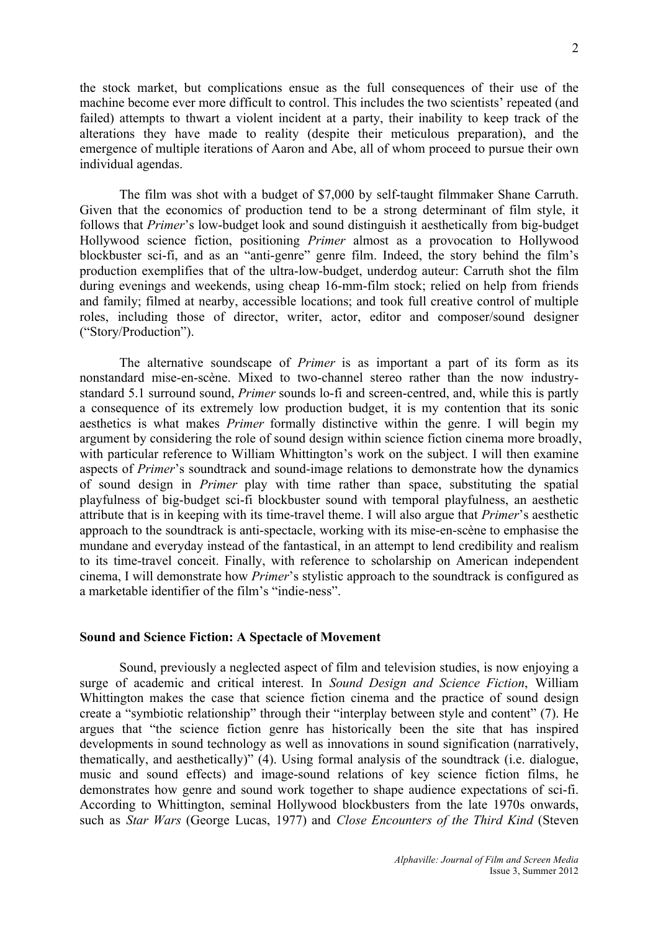the stock market, but complications ensue as the full consequences of their use of the machine become ever more difficult to control. This includes the two scientists' repeated (and failed) attempts to thwart a violent incident at a party, their inability to keep track of the alterations they have made to reality (despite their meticulous preparation), and the emergence of multiple iterations of Aaron and Abe, all of whom proceed to pursue their own individual agendas.

The film was shot with a budget of \$7,000 by self-taught filmmaker Shane Carruth. Given that the economics of production tend to be a strong determinant of film style, it follows that *Primer*'s low-budget look and sound distinguish it aesthetically from big-budget Hollywood science fiction, positioning *Primer* almost as a provocation to Hollywood blockbuster sci-fi, and as an "anti-genre" genre film. Indeed, the story behind the film's production exemplifies that of the ultra-low-budget, underdog auteur: Carruth shot the film during evenings and weekends, using cheap 16-mm-film stock; relied on help from friends and family; filmed at nearby, accessible locations; and took full creative control of multiple roles, including those of director, writer, actor, editor and composer/sound designer ("Story/Production").

The alternative soundscape of *Primer* is as important a part of its form as its nonstandard mise-en-scène. Mixed to two-channel stereo rather than the now industrystandard 5.1 surround sound, *Primer* sounds lo-fi and screen-centred, and, while this is partly a consequence of its extremely low production budget, it is my contention that its sonic aesthetics is what makes *Primer* formally distinctive within the genre. I will begin my argument by considering the role of sound design within science fiction cinema more broadly, with particular reference to William Whittington's work on the subject. I will then examine aspects of *Primer*'s soundtrack and sound-image relations to demonstrate how the dynamics of sound design in *Primer* play with time rather than space, substituting the spatial playfulness of big-budget sci-fi blockbuster sound with temporal playfulness, an aesthetic attribute that is in keeping with its time-travel theme. I will also argue that *Primer*'s aesthetic approach to the soundtrack is anti-spectacle, working with its mise-en-scène to emphasise the mundane and everyday instead of the fantastical, in an attempt to lend credibility and realism to its time-travel conceit. Finally, with reference to scholarship on American independent cinema, I will demonstrate how *Primer*'s stylistic approach to the soundtrack is configured as a marketable identifier of the film's "indie-ness".

### **Sound and Science Fiction: A Spectacle of Movement**

Sound, previously a neglected aspect of film and television studies, is now enjoying a surge of academic and critical interest. In *Sound Design and Science Fiction*, William Whittington makes the case that science fiction cinema and the practice of sound design create a "symbiotic relationship" through their "interplay between style and content" (7). He argues that "the science fiction genre has historically been the site that has inspired developments in sound technology as well as innovations in sound signification (narratively, thematically, and aesthetically)" (4). Using formal analysis of the soundtrack (i.e. dialogue, music and sound effects) and image-sound relations of key science fiction films, he demonstrates how genre and sound work together to shape audience expectations of sci-fi. According to Whittington, seminal Hollywood blockbusters from the late 1970s onwards, such as *Star Wars* (George Lucas, 1977) and *Close Encounters of the Third Kind* (Steven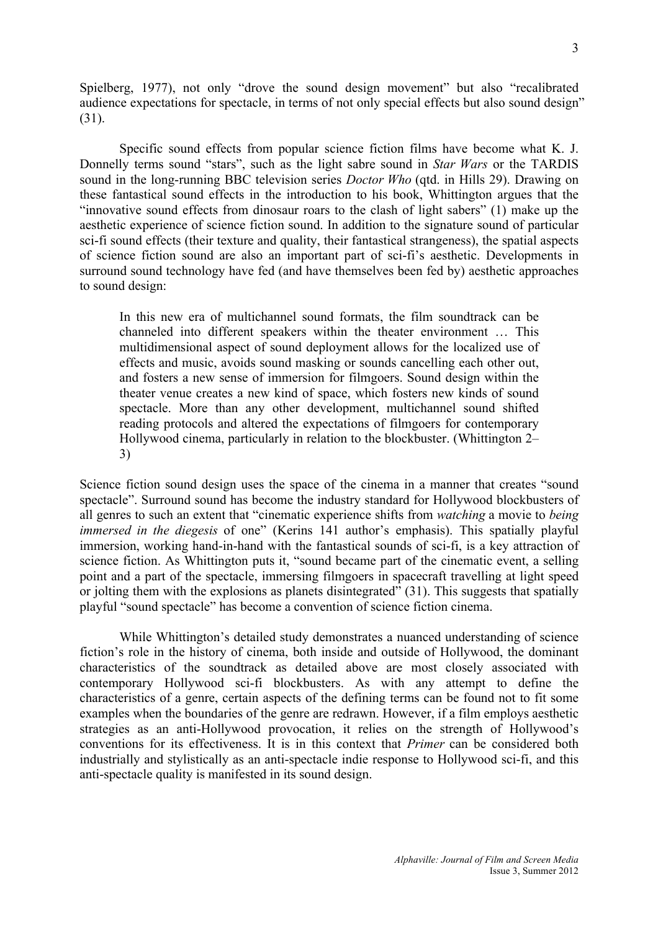Spielberg, 1977), not only "drove the sound design movement" but also "recalibrated audience expectations for spectacle, in terms of not only special effects but also sound design" (31).

Specific sound effects from popular science fiction films have become what K. J. Donnelly terms sound "stars", such as the light sabre sound in *Star Wars* or the TARDIS sound in the long-running BBC television series *Doctor Who* (qtd. in Hills 29). Drawing on these fantastical sound effects in the introduction to his book, Whittington argues that the "innovative sound effects from dinosaur roars to the clash of light sabers" (1) make up the aesthetic experience of science fiction sound. In addition to the signature sound of particular sci-fi sound effects (their texture and quality, their fantastical strangeness), the spatial aspects of science fiction sound are also an important part of sci-fi's aesthetic. Developments in surround sound technology have fed (and have themselves been fed by) aesthetic approaches to sound design:

In this new era of multichannel sound formats, the film soundtrack can be channeled into different speakers within the theater environment … This multidimensional aspect of sound deployment allows for the localized use of effects and music, avoids sound masking or sounds cancelling each other out, and fosters a new sense of immersion for filmgoers. Sound design within the theater venue creates a new kind of space, which fosters new kinds of sound spectacle. More than any other development, multichannel sound shifted reading protocols and altered the expectations of filmgoers for contemporary Hollywood cinema, particularly in relation to the blockbuster. (Whittington 2– 3)

Science fiction sound design uses the space of the cinema in a manner that creates "sound spectacle". Surround sound has become the industry standard for Hollywood blockbusters of all genres to such an extent that "cinematic experience shifts from *watching* a movie to *being immersed in the diegesis* of one" (Kerins 141 author's emphasis). This spatially playful immersion, working hand-in-hand with the fantastical sounds of sci-fi, is a key attraction of science fiction. As Whittington puts it, "sound became part of the cinematic event, a selling point and a part of the spectacle, immersing filmgoers in spacecraft travelling at light speed or jolting them with the explosions as planets disintegrated" (31). This suggests that spatially playful "sound spectacle" has become a convention of science fiction cinema.

While Whittington's detailed study demonstrates a nuanced understanding of science fiction's role in the history of cinema, both inside and outside of Hollywood, the dominant characteristics of the soundtrack as detailed above are most closely associated with contemporary Hollywood sci-fi blockbusters. As with any attempt to define the characteristics of a genre, certain aspects of the defining terms can be found not to fit some examples when the boundaries of the genre are redrawn. However, if a film employs aesthetic strategies as an anti-Hollywood provocation, it relies on the strength of Hollywood's conventions for its effectiveness. It is in this context that *Primer* can be considered both industrially and stylistically as an anti-spectacle indie response to Hollywood sci-fi, and this anti-spectacle quality is manifested in its sound design.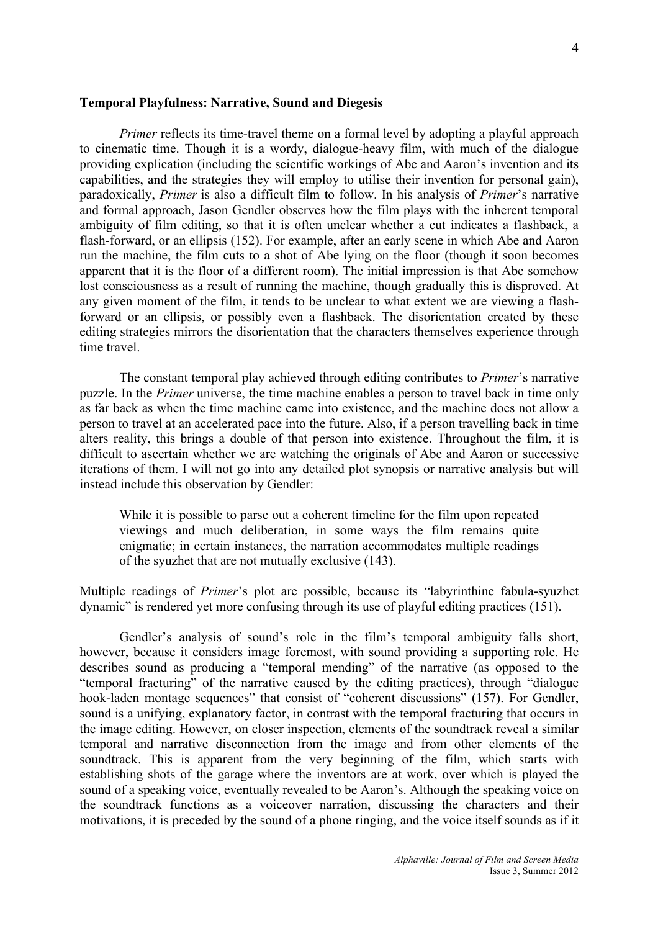*Primer* reflects its time-travel theme on a formal level by adopting a playful approach to cinematic time. Though it is a wordy, dialogue-heavy film, with much of the dialogue providing explication (including the scientific workings of Abe and Aaron's invention and its capabilities, and the strategies they will employ to utilise their invention for personal gain), paradoxically, *Primer* is also a difficult film to follow. In his analysis of *Primer*'s narrative and formal approach, Jason Gendler observes how the film plays with the inherent temporal ambiguity of film editing, so that it is often unclear whether a cut indicates a flashback, a flash-forward, or an ellipsis (152). For example, after an early scene in which Abe and Aaron run the machine, the film cuts to a shot of Abe lying on the floor (though it soon becomes apparent that it is the floor of a different room). The initial impression is that Abe somehow lost consciousness as a result of running the machine, though gradually this is disproved. At any given moment of the film, it tends to be unclear to what extent we are viewing a flashforward or an ellipsis, or possibly even a flashback. The disorientation created by these editing strategies mirrors the disorientation that the characters themselves experience through time travel.

The constant temporal play achieved through editing contributes to *Primer*'s narrative puzzle. In the *Primer* universe, the time machine enables a person to travel back in time only as far back as when the time machine came into existence, and the machine does not allow a person to travel at an accelerated pace into the future. Also, if a person travelling back in time alters reality, this brings a double of that person into existence. Throughout the film, it is difficult to ascertain whether we are watching the originals of Abe and Aaron or successive iterations of them. I will not go into any detailed plot synopsis or narrative analysis but will instead include this observation by Gendler:

While it is possible to parse out a coherent timeline for the film upon repeated viewings and much deliberation, in some ways the film remains quite enigmatic; in certain instances, the narration accommodates multiple readings of the syuzhet that are not mutually exclusive (143).

Multiple readings of *Primer*'s plot are possible, because its "labyrinthine fabula-syuzhet dynamic" is rendered yet more confusing through its use of playful editing practices (151).

Gendler's analysis of sound's role in the film's temporal ambiguity falls short, however, because it considers image foremost, with sound providing a supporting role. He describes sound as producing a "temporal mending" of the narrative (as opposed to the "temporal fracturing" of the narrative caused by the editing practices), through "dialogue hook-laden montage sequences" that consist of "coherent discussions" (157). For Gendler, sound is a unifying, explanatory factor, in contrast with the temporal fracturing that occurs in the image editing. However, on closer inspection, elements of the soundtrack reveal a similar temporal and narrative disconnection from the image and from other elements of the soundtrack. This is apparent from the very beginning of the film, which starts with establishing shots of the garage where the inventors are at work, over which is played the sound of a speaking voice, eventually revealed to be Aaron's. Although the speaking voice on the soundtrack functions as a voiceover narration, discussing the characters and their motivations, it is preceded by the sound of a phone ringing, and the voice itself sounds as if it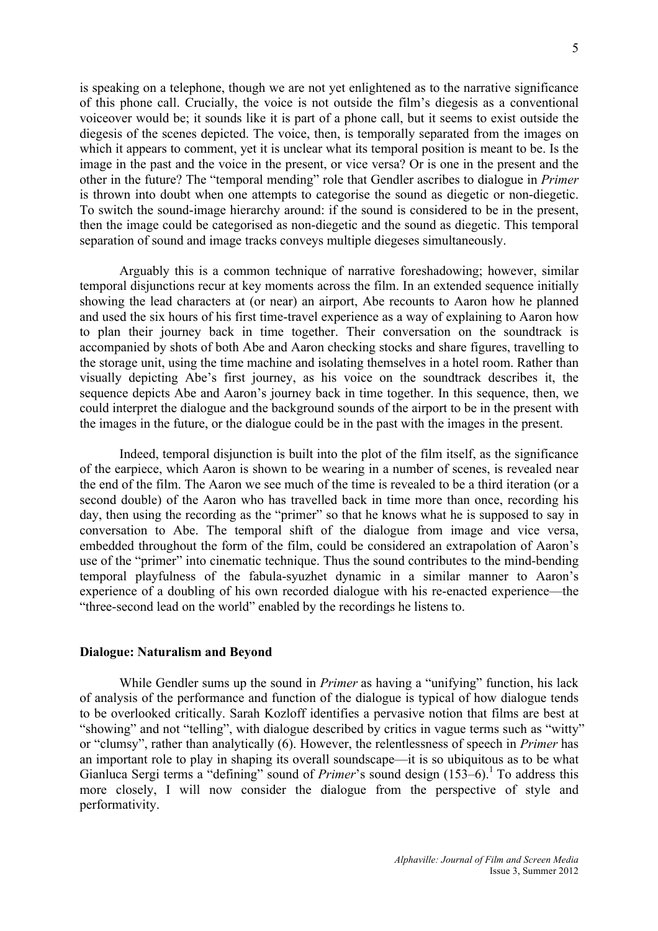is speaking on a telephone, though we are not yet enlightened as to the narrative significance of this phone call. Crucially, the voice is not outside the film's diegesis as a conventional voiceover would be; it sounds like it is part of a phone call, but it seems to exist outside the diegesis of the scenes depicted. The voice, then, is temporally separated from the images on which it appears to comment, yet it is unclear what its temporal position is meant to be. Is the image in the past and the voice in the present, or vice versa? Or is one in the present and the other in the future? The "temporal mending" role that Gendler ascribes to dialogue in *Primer*  is thrown into doubt when one attempts to categorise the sound as diegetic or non-diegetic. To switch the sound-image hierarchy around: if the sound is considered to be in the present, then the image could be categorised as non-diegetic and the sound as diegetic. This temporal separation of sound and image tracks conveys multiple diegeses simultaneously.

Arguably this is a common technique of narrative foreshadowing; however, similar temporal disjunctions recur at key moments across the film. In an extended sequence initially showing the lead characters at (or near) an airport, Abe recounts to Aaron how he planned and used the six hours of his first time-travel experience as a way of explaining to Aaron how to plan their journey back in time together. Their conversation on the soundtrack is accompanied by shots of both Abe and Aaron checking stocks and share figures, travelling to the storage unit, using the time machine and isolating themselves in a hotel room. Rather than visually depicting Abe's first journey, as his voice on the soundtrack describes it, the sequence depicts Abe and Aaron's journey back in time together. In this sequence, then, we could interpret the dialogue and the background sounds of the airport to be in the present with the images in the future, or the dialogue could be in the past with the images in the present.

Indeed, temporal disjunction is built into the plot of the film itself, as the significance of the earpiece, which Aaron is shown to be wearing in a number of scenes, is revealed near the end of the film. The Aaron we see much of the time is revealed to be a third iteration (or a second double) of the Aaron who has travelled back in time more than once, recording his day, then using the recording as the "primer" so that he knows what he is supposed to say in conversation to Abe. The temporal shift of the dialogue from image and vice versa, embedded throughout the form of the film, could be considered an extrapolation of Aaron's use of the "primer" into cinematic technique. Thus the sound contributes to the mind-bending temporal playfulness of the fabula-syuzhet dynamic in a similar manner to Aaron's experience of a doubling of his own recorded dialogue with his re-enacted experience—the "three-second lead on the world" enabled by the recordings he listens to.

#### **Dialogue: Naturalism and Beyond**

While Gendler sums up the sound in *Primer* as having a "unifying" function, his lack of analysis of the performance and function of the dialogue is typical of how dialogue tends to be overlooked critically. Sarah Kozloff identifies a pervasive notion that films are best at "showing" and not "telling", with dialogue described by critics in vague terms such as "witty" or "clumsy", rather than analytically (6). However, the relentlessness of speech in *Primer* has an important role to play in shaping its overall soundscape—it is so ubiquitous as to be what Gianluca Sergi terms a "defining" sound of *Primer*'s sound design (153–6).<sup>1</sup> To address this more closely, I will now consider the dialogue from the perspective of style and performativity.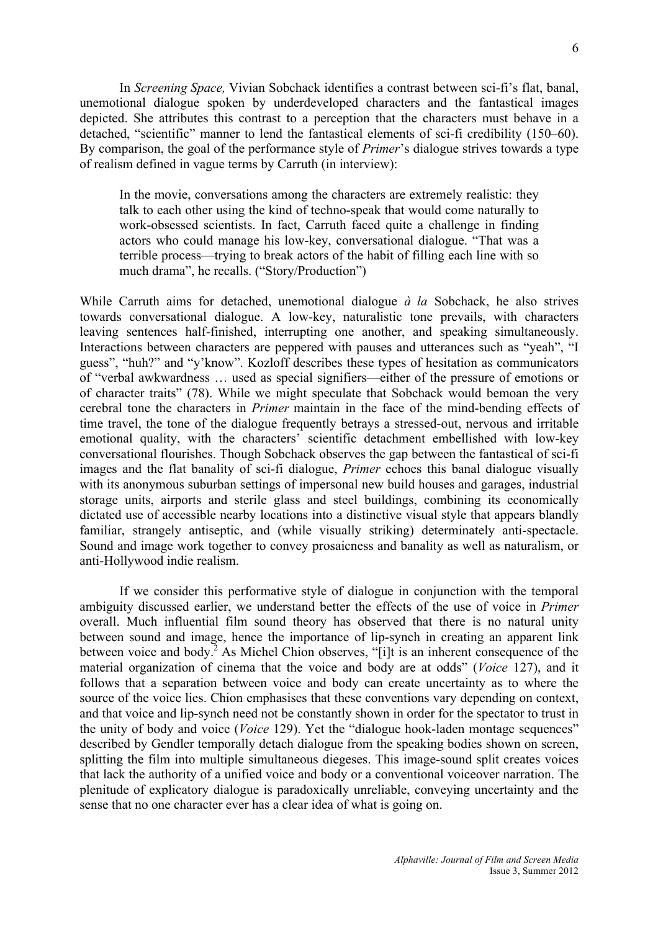In *Screening Space,* Vivian Sobchack identifies a contrast between sci-fi's flat, banal, unemotional dialogue spoken by underdeveloped characters and the fantastical images depicted. She attributes this contrast to a perception that the characters must behave in a detached, "scientific" manner to lend the fantastical elements of sci-fi credibility (150–60). By comparison, the goal of the performance style of *Primer*'s dialogue strives towards a type of realism defined in vague terms by Carruth (in interview):

In the movie, conversations among the characters are extremely realistic: they talk to each other using the kind of techno-speak that would come naturally to work-obsessed scientists. In fact, Carruth faced quite a challenge in finding actors who could manage his low-key, conversational dialogue. "That was a terrible process—trying to break actors of the habit of filling each line with so much drama", he recalls. ("Story/Production")

While Carruth aims for detached, unemotional dialogue *à la* Sobchack, he also strives towards conversational dialogue. A low-key, naturalistic tone prevails, with characters leaving sentences half-finished, interrupting one another, and speaking simultaneously. Interactions between characters are peppered with pauses and utterances such as "yeah", "I guess", "huh?" and "y'know". Kozloff describes these types of hesitation as communicators of "verbal awkwardness … used as special signifiers—either of the pressure of emotions or of character traits" (78). While we might speculate that Sobchack would bemoan the very cerebral tone the characters in *Primer* maintain in the face of the mind-bending effects of time travel, the tone of the dialogue frequently betrays a stressed-out, nervous and irritable emotional quality, with the characters' scientific detachment embellished with low-key conversational flourishes. Though Sobchack observes the gap between the fantastical of sci-fi images and the flat banality of sci-fi dialogue, *Primer* echoes this banal dialogue visually with its anonymous suburban settings of impersonal new build houses and garages, industrial storage units, airports and sterile glass and steel buildings, combining its economically dictated use of accessible nearby locations into a distinctive visual style that appears blandly familiar, strangely antiseptic, and (while visually striking) determinately anti-spectacle. Sound and image work together to convey prosaicness and banality as well as naturalism, or anti-Hollywood indie realism.

If we consider this performative style of dialogue in conjunction with the temporal ambiguity discussed earlier, we understand better the effects of the use of voice in *Primer*  overall. Much influential film sound theory has observed that there is no natural unity between sound and image, hence the importance of lip-synch in creating an apparent link between voice and body.<sup>2</sup> As Michel Chion observes, "[i]t is an inherent consequence of the material organization of cinema that the voice and body are at odds" (*Voice* 127), and it follows that a separation between voice and body can create uncertainty as to where the source of the voice lies. Chion emphasises that these conventions vary depending on context, and that voice and lip-synch need not be constantly shown in order for the spectator to trust in the unity of body and voice (*Voice* 129). Yet the "dialogue hook-laden montage sequences" described by Gendler temporally detach dialogue from the speaking bodies shown on screen, splitting the film into multiple simultaneous diegeses. This image-sound split creates voices that lack the authority of a unified voice and body or a conventional voiceover narration. The plenitude of explicatory dialogue is paradoxically unreliable, conveying uncertainty and the sense that no one character ever has a clear idea of what is going on.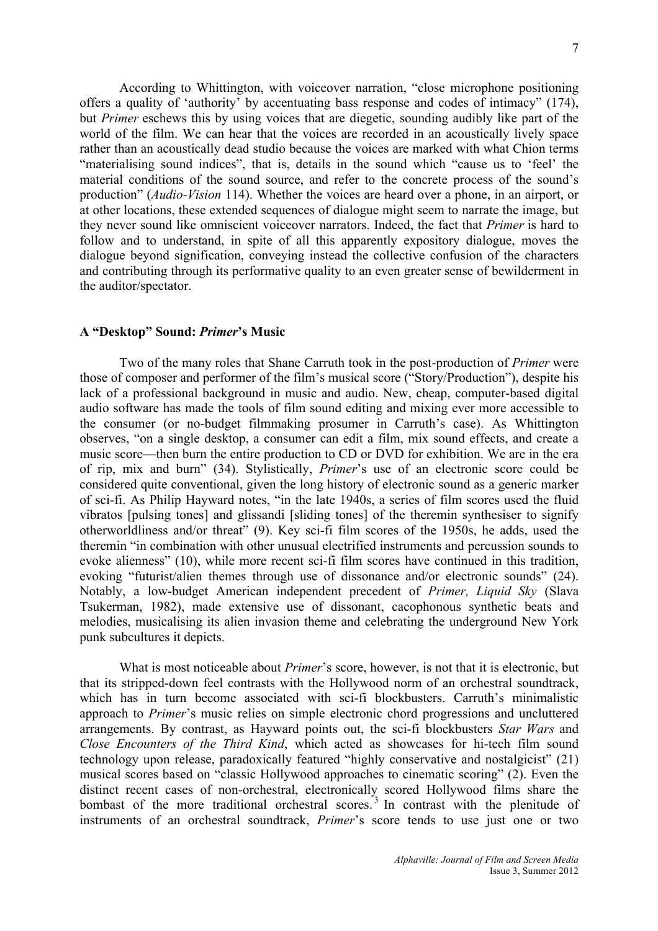According to Whittington, with voiceover narration, "close microphone positioning offers a quality of 'authority' by accentuating bass response and codes of intimacy" (174), but *Primer* eschews this by using voices that are diegetic, sounding audibly like part of the world of the film. We can hear that the voices are recorded in an acoustically lively space rather than an acoustically dead studio because the voices are marked with what Chion terms "materialising sound indices", that is, details in the sound which "cause us to 'feel' the material conditions of the sound source, and refer to the concrete process of the sound's production" (*Audio-Vision* 114). Whether the voices are heard over a phone, in an airport, or at other locations, these extended sequences of dialogue might seem to narrate the image, but they never sound like omniscient voiceover narrators. Indeed, the fact that *Primer* is hard to follow and to understand, in spite of all this apparently expository dialogue, moves the dialogue beyond signification, conveying instead the collective confusion of the characters and contributing through its performative quality to an even greater sense of bewilderment in the auditor/spectator.

#### **A "Desktop" Sound:** *Primer***'s Music**

Two of the many roles that Shane Carruth took in the post-production of *Primer* were those of composer and performer of the film's musical score ("Story/Production"), despite his lack of a professional background in music and audio. New, cheap, computer-based digital audio software has made the tools of film sound editing and mixing ever more accessible to the consumer (or no-budget filmmaking prosumer in Carruth's case). As Whittington observes, "on a single desktop, a consumer can edit a film, mix sound effects, and create a music score—then burn the entire production to CD or DVD for exhibition. We are in the era of rip, mix and burn" (34). Stylistically, *Primer*'s use of an electronic score could be considered quite conventional, given the long history of electronic sound as a generic marker of sci-fi. As Philip Hayward notes, "in the late 1940s, a series of film scores used the fluid vibratos [pulsing tones] and glissandi [sliding tones] of the theremin synthesiser to signify otherworldliness and/or threat" (9). Key sci-fi film scores of the 1950s, he adds, used the theremin "in combination with other unusual electrified instruments and percussion sounds to evoke alienness" (10), while more recent sci-fi film scores have continued in this tradition, evoking "futurist/alien themes through use of dissonance and/or electronic sounds" (24). Notably, a low-budget American independent precedent of *Primer, Liquid Sky* (Slava Tsukerman, 1982), made extensive use of dissonant, cacophonous synthetic beats and melodies, musicalising its alien invasion theme and celebrating the underground New York punk subcultures it depicts.

What is most noticeable about *Primer*'s score, however, is not that it is electronic, but that its stripped-down feel contrasts with the Hollywood norm of an orchestral soundtrack, which has in turn become associated with sci-fi blockbusters. Carruth's minimalistic approach to *Primer*'s music relies on simple electronic chord progressions and uncluttered arrangements. By contrast, as Hayward points out, the sci-fi blockbusters *Star Wars* and *Close Encounters of the Third Kind*, which acted as showcases for hi-tech film sound technology upon release, paradoxically featured "highly conservative and nostalgicist" (21) musical scores based on "classic Hollywood approaches to cinematic scoring" (2). Even the distinct recent cases of non-orchestral, electronically scored Hollywood films share the bombast of the more traditional orchestral scores.<sup>3</sup> In contrast with the plenitude of instruments of an orchestral soundtrack, *Primer*'s score tends to use just one or two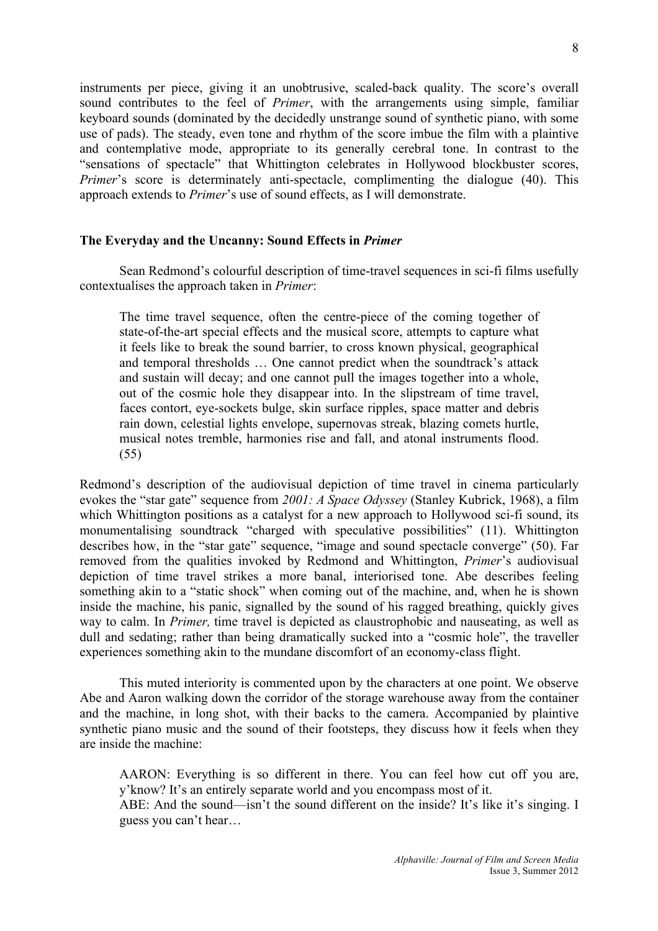instruments per piece, giving it an unobtrusive, scaled-back quality. The score's overall sound contributes to the feel of *Primer*, with the arrangements using simple, familiar keyboard sounds (dominated by the decidedly unstrange sound of synthetic piano, with some use of pads). The steady, even tone and rhythm of the score imbue the film with a plaintive and contemplative mode, appropriate to its generally cerebral tone. In contrast to the "sensations of spectacle" that Whittington celebrates in Hollywood blockbuster scores, *Primer*'s score is determinately anti-spectacle, complimenting the dialogue (40). This approach extends to *Primer*'s use of sound effects, as I will demonstrate.

## **The Everyday and the Uncanny: Sound Effects in** *Primer*

Sean Redmond's colourful description of time-travel sequences in sci-fi films usefully contextualises the approach taken in *Primer*:

The time travel sequence, often the centre-piece of the coming together of state-of-the-art special effects and the musical score, attempts to capture what it feels like to break the sound barrier, to cross known physical, geographical and temporal thresholds … One cannot predict when the soundtrack's attack and sustain will decay; and one cannot pull the images together into a whole, out of the cosmic hole they disappear into. In the slipstream of time travel, faces contort, eye-sockets bulge, skin surface ripples, space matter and debris rain down, celestial lights envelope, supernovas streak, blazing comets hurtle, musical notes tremble, harmonies rise and fall, and atonal instruments flood. (55)

Redmond's description of the audiovisual depiction of time travel in cinema particularly evokes the "star gate" sequence from *2001: A Space Odyssey* (Stanley Kubrick, 1968), a film which Whittington positions as a catalyst for a new approach to Hollywood sci-fi sound, its monumentalising soundtrack "charged with speculative possibilities" (11). Whittington describes how, in the "star gate" sequence, "image and sound spectacle converge" (50). Far removed from the qualities invoked by Redmond and Whittington, *Primer*'s audiovisual depiction of time travel strikes a more banal, interiorised tone. Abe describes feeling something akin to a "static shock" when coming out of the machine, and, when he is shown inside the machine, his panic, signalled by the sound of his ragged breathing, quickly gives way to calm. In *Primer,* time travel is depicted as claustrophobic and nauseating, as well as dull and sedating; rather than being dramatically sucked into a "cosmic hole", the traveller experiences something akin to the mundane discomfort of an economy-class flight.

This muted interiority is commented upon by the characters at one point. We observe Abe and Aaron walking down the corridor of the storage warehouse away from the container and the machine, in long shot, with their backs to the camera. Accompanied by plaintive synthetic piano music and the sound of their footsteps, they discuss how it feels when they are inside the machine:

AARON: Everything is so different in there. You can feel how cut off you are, y'know? It's an entirely separate world and you encompass most of it.

ABE: And the sound—isn't the sound different on the inside? It's like it's singing. I guess you can't hear…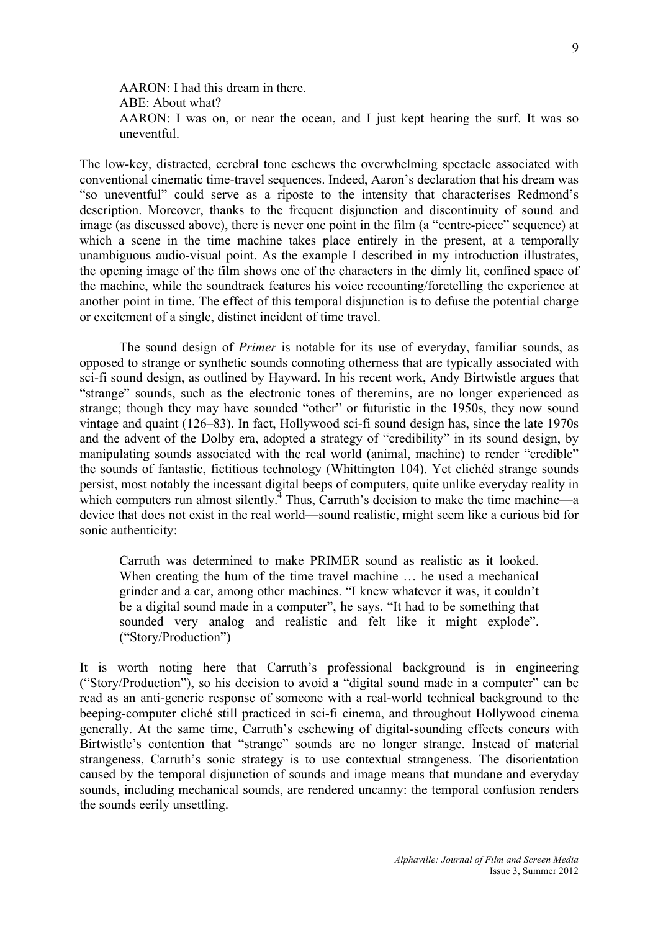AARON: I had this dream in there. ABE: About what? AARON: I was on, or near the ocean, and I just kept hearing the surf. It was so uneventful.

The low-key, distracted, cerebral tone eschews the overwhelming spectacle associated with conventional cinematic time-travel sequences. Indeed, Aaron's declaration that his dream was "so uneventful" could serve as a riposte to the intensity that characterises Redmond's description. Moreover, thanks to the frequent disjunction and discontinuity of sound and image (as discussed above), there is never one point in the film (a "centre-piece" sequence) at which a scene in the time machine takes place entirely in the present, at a temporally unambiguous audio-visual point. As the example I described in my introduction illustrates, the opening image of the film shows one of the characters in the dimly lit, confined space of the machine, while the soundtrack features his voice recounting/foretelling the experience at another point in time. The effect of this temporal disjunction is to defuse the potential charge or excitement of a single, distinct incident of time travel.

The sound design of *Primer* is notable for its use of everyday, familiar sounds, as opposed to strange or synthetic sounds connoting otherness that are typically associated with sci-fi sound design, as outlined by Hayward. In his recent work, Andy Birtwistle argues that "strange" sounds, such as the electronic tones of theremins, are no longer experienced as strange; though they may have sounded "other" or futuristic in the 1950s, they now sound vintage and quaint (126–83). In fact, Hollywood sci-fi sound design has, since the late 1970s and the advent of the Dolby era, adopted a strategy of "credibility" in its sound design, by manipulating sounds associated with the real world (animal, machine) to render "credible" the sounds of fantastic, fictitious technology (Whittington 104). Yet clichéd strange sounds persist, most notably the incessant digital beeps of computers, quite unlike everyday reality in which computers run almost silently.<sup> $\frac{1}{4}$ </sup> Thus, Carruth's decision to make the time machine—a device that does not exist in the real world—sound realistic, might seem like a curious bid for sonic authenticity:

Carruth was determined to make PRIMER sound as realistic as it looked. When creating the hum of the time travel machine … he used a mechanical grinder and a car, among other machines. "I knew whatever it was, it couldn't be a digital sound made in a computer", he says. "It had to be something that sounded very analog and realistic and felt like it might explode". ("Story/Production")

It is worth noting here that Carruth's professional background is in engineering ("Story/Production"), so his decision to avoid a "digital sound made in a computer" can be read as an anti-generic response of someone with a real-world technical background to the beeping-computer cliché still practiced in sci-fi cinema, and throughout Hollywood cinema generally. At the same time, Carruth's eschewing of digital-sounding effects concurs with Birtwistle's contention that "strange" sounds are no longer strange. Instead of material strangeness, Carruth's sonic strategy is to use contextual strangeness. The disorientation caused by the temporal disjunction of sounds and image means that mundane and everyday sounds, including mechanical sounds, are rendered uncanny: the temporal confusion renders the sounds eerily unsettling.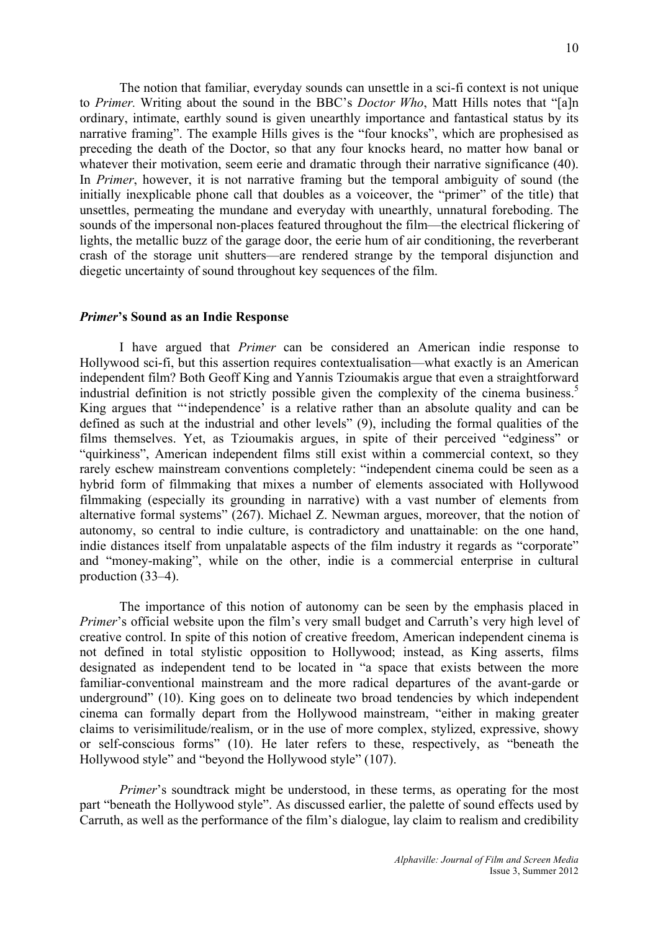The notion that familiar, everyday sounds can unsettle in a sci-fi context is not unique to *Primer.* Writing about the sound in the BBC's *Doctor Who*, Matt Hills notes that "[a]n ordinary, intimate, earthly sound is given unearthly importance and fantastical status by its narrative framing". The example Hills gives is the "four knocks", which are prophesised as preceding the death of the Doctor, so that any four knocks heard, no matter how banal or whatever their motivation, seem eerie and dramatic through their narrative significance (40). In *Primer*, however, it is not narrative framing but the temporal ambiguity of sound (the initially inexplicable phone call that doubles as a voiceover, the "primer" of the title) that unsettles, permeating the mundane and everyday with unearthly, unnatural foreboding. The sounds of the impersonal non-places featured throughout the film—the electrical flickering of lights, the metallic buzz of the garage door, the eerie hum of air conditioning, the reverberant crash of the storage unit shutters—are rendered strange by the temporal disjunction and diegetic uncertainty of sound throughout key sequences of the film.

### *Primer***'s Sound as an Indie Response**

I have argued that *Primer* can be considered an American indie response to Hollywood sci-fi, but this assertion requires contextualisation—what exactly is an American independent film? Both Geoff King and Yannis Tzioumakis argue that even a straightforward industrial definition is not strictly possible given the complexity of the cinema business.<sup>5</sup> King argues that "'independence' is a relative rather than an absolute quality and can be defined as such at the industrial and other levels" (9), including the formal qualities of the films themselves. Yet, as Tzioumakis argues, in spite of their perceived "edginess" or "quirkiness", American independent films still exist within a commercial context, so they rarely eschew mainstream conventions completely: "independent cinema could be seen as a hybrid form of filmmaking that mixes a number of elements associated with Hollywood filmmaking (especially its grounding in narrative) with a vast number of elements from alternative formal systems" (267). Michael Z. Newman argues, moreover, that the notion of autonomy, so central to indie culture, is contradictory and unattainable: on the one hand, indie distances itself from unpalatable aspects of the film industry it regards as "corporate" and "money-making", while on the other, indie is a commercial enterprise in cultural production (33–4).

The importance of this notion of autonomy can be seen by the emphasis placed in *Primer*'s official website upon the film's very small budget and Carruth's very high level of creative control. In spite of this notion of creative freedom, American independent cinema is not defined in total stylistic opposition to Hollywood; instead, as King asserts, films designated as independent tend to be located in "a space that exists between the more familiar-conventional mainstream and the more radical departures of the avant-garde or underground" (10). King goes on to delineate two broad tendencies by which independent cinema can formally depart from the Hollywood mainstream, "either in making greater claims to verisimilitude/realism, or in the use of more complex, stylized, expressive, showy or self-conscious forms" (10). He later refers to these, respectively, as "beneath the Hollywood style" and "beyond the Hollywood style" (107).

*Primer*'s soundtrack might be understood, in these terms, as operating for the most part "beneath the Hollywood style". As discussed earlier, the palette of sound effects used by Carruth, as well as the performance of the film's dialogue, lay claim to realism and credibility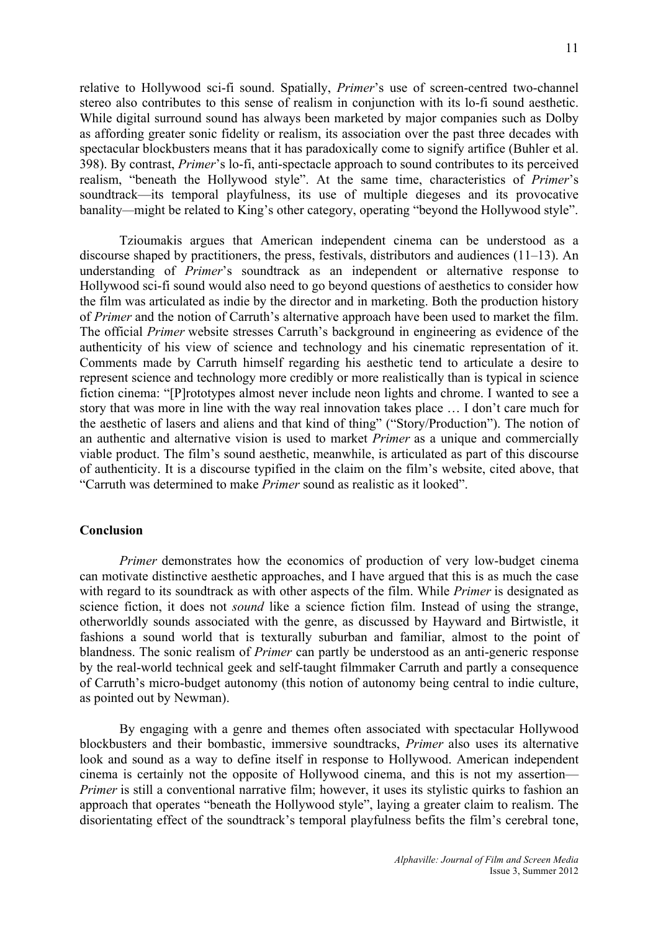relative to Hollywood sci-fi sound. Spatially, *Primer*'s use of screen-centred two-channel stereo also contributes to this sense of realism in conjunction with its lo-fi sound aesthetic. While digital surround sound has always been marketed by major companies such as Dolby as affording greater sonic fidelity or realism, its association over the past three decades with spectacular blockbusters means that it has paradoxically come to signify artifice (Buhler et al. 398). By contrast, *Primer*'s lo-fi, anti-spectacle approach to sound contributes to its perceived realism, "beneath the Hollywood style". At the same time, characteristics of *Primer*'s soundtrack—its temporal playfulness, its use of multiple diegeses and its provocative banality*—*might be related to King's other category, operating "beyond the Hollywood style".

Tzioumakis argues that American independent cinema can be understood as a discourse shaped by practitioners, the press, festivals, distributors and audiences (11–13). An understanding of *Primer*'s soundtrack as an independent or alternative response to Hollywood sci-fi sound would also need to go beyond questions of aesthetics to consider how the film was articulated as indie by the director and in marketing. Both the production history of *Primer* and the notion of Carruth's alternative approach have been used to market the film. The official *Primer* website stresses Carruth's background in engineering as evidence of the authenticity of his view of science and technology and his cinematic representation of it. Comments made by Carruth himself regarding his aesthetic tend to articulate a desire to represent science and technology more credibly or more realistically than is typical in science fiction cinema: "[P]rototypes almost never include neon lights and chrome. I wanted to see a story that was more in line with the way real innovation takes place … I don't care much for the aesthetic of lasers and aliens and that kind of thing" ("Story/Production"). The notion of an authentic and alternative vision is used to market *Primer* as a unique and commercially viable product. The film's sound aesthetic, meanwhile, is articulated as part of this discourse of authenticity. It is a discourse typified in the claim on the film's website, cited above, that "Carruth was determined to make *Primer* sound as realistic as it looked".

### **Conclusion**

*Primer* demonstrates how the economics of production of very low-budget cinema can motivate distinctive aesthetic approaches, and I have argued that this is as much the case with regard to its soundtrack as with other aspects of the film. While *Primer* is designated as science fiction, it does not *sound* like a science fiction film. Instead of using the strange, otherworldly sounds associated with the genre, as discussed by Hayward and Birtwistle, it fashions a sound world that is texturally suburban and familiar, almost to the point of blandness. The sonic realism of *Primer* can partly be understood as an anti-generic response by the real-world technical geek and self-taught filmmaker Carruth and partly a consequence of Carruth's micro-budget autonomy (this notion of autonomy being central to indie culture, as pointed out by Newman).

By engaging with a genre and themes often associated with spectacular Hollywood blockbusters and their bombastic, immersive soundtracks, *Primer* also uses its alternative look and sound as a way to define itself in response to Hollywood. American independent cinema is certainly not the opposite of Hollywood cinema, and this is not my assertion— *Primer* is still a conventional narrative film; however, it uses its stylistic quirks to fashion an approach that operates "beneath the Hollywood style", laying a greater claim to realism. The disorientating effect of the soundtrack's temporal playfulness befits the film's cerebral tone,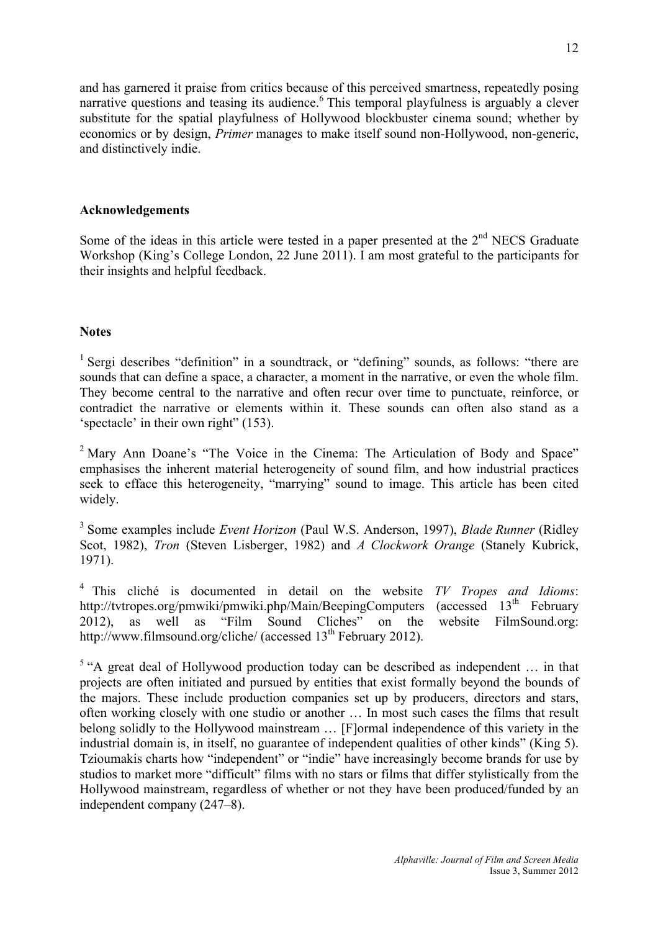and has garnered it praise from critics because of this perceived smartness, repeatedly posing narrative questions and teasing its audience.<sup>6</sup> This temporal playfulness is arguably a clever substitute for the spatial playfulness of Hollywood blockbuster cinema sound; whether by economics or by design, *Primer* manages to make itself sound non-Hollywood, non-generic, and distinctively indie.

### **Acknowledgements**

Some of the ideas in this article were tested in a paper presented at the  $2<sup>nd</sup>$  NECS Graduate Workshop (King's College London, 22 June 2011). I am most grateful to the participants for their insights and helpful feedback.

### **Notes**

<sup>1</sup> Sergi describes "definition" in a soundtrack, or "defining" sounds, as follows: "there are sounds that can define a space, a character, a moment in the narrative, or even the whole film. They become central to the narrative and often recur over time to punctuate, reinforce, or contradict the narrative or elements within it. These sounds can often also stand as a 'spectacle' in their own right" (153).

<sup>2</sup> Mary Ann Doane's "The Voice in the Cinema: The Articulation of Body and Space" emphasises the inherent material heterogeneity of sound film, and how industrial practices seek to efface this heterogeneity, "marrying" sound to image. This article has been cited widely.

<sup>3</sup> Some examples include *Event Horizon* (Paul W.S. Anderson, 1997), *Blade Runner* (Ridley Scot, 1982), *Tron* (Steven Lisberger, 1982) and *A Clockwork Orange* (Stanely Kubrick, 1971).

<sup>4</sup> This cliché is documented in detail on the website *TV Tropes and Idioms*: http://tvtropes.org/pmwiki/pmwiki.php/Main/BeepingComputers (accessed 13<sup>th</sup> February 2012), as well as "Film Sound Cliches" on the website FilmSound.org: http://www.filmsound.org/cliche/ (accessed  $13<sup>th</sup>$  February 2012).

<sup>5</sup> "A great deal of Hollywood production today can be described as independent ... in that projects are often initiated and pursued by entities that exist formally beyond the bounds of the majors. These include production companies set up by producers, directors and stars, often working closely with one studio or another … In most such cases the films that result belong solidly to the Hollywood mainstream … [F]ormal independence of this variety in the industrial domain is, in itself, no guarantee of independent qualities of other kinds" (King 5). Tzioumakis charts how "independent" or "indie" have increasingly become brands for use by studios to market more "difficult" films with no stars or films that differ stylistically from the Hollywood mainstream, regardless of whether or not they have been produced/funded by an independent company (247–8).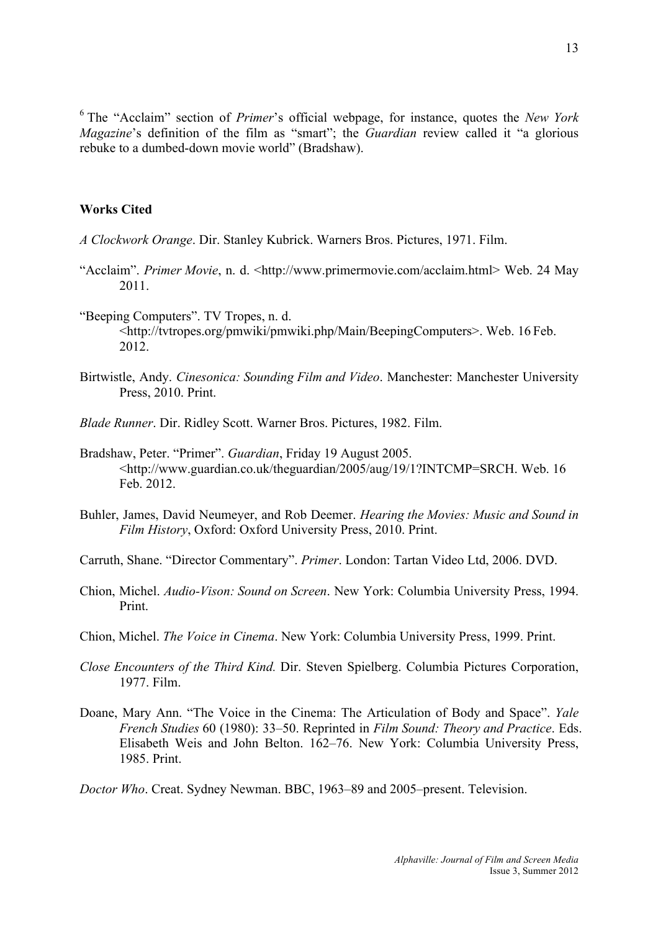<sup>6</sup> The "Acclaim" section of *Primer*'s official webpage, for instance, quotes the *New York Magazine*'s definition of the film as "smart"; the *Guardian* review called it "a glorious rebuke to a dumbed-down movie world" (Bradshaw).

#### **Works Cited**

- *A Clockwork Orange*. Dir. Stanley Kubrick. Warners Bros. Pictures, 1971. Film.
- "Acclaim". *Primer Movie*, n. d. <http://www.primermovie.com/acclaim.html> Web. 24 May 2011.
- "Beeping Computers". TV Tropes, n. d. <http://tvtropes.org/pmwiki/pmwiki.php/Main/BeepingComputers>. Web. 16 Feb. 2012.
- Birtwistle, Andy. *Cinesonica: Sounding Film and Video*. Manchester: Manchester University Press, 2010. Print.
- *Blade Runner*. Dir. Ridley Scott. Warner Bros. Pictures, 1982. Film.
- Bradshaw, Peter. "Primer". *Guardian*, Friday 19 August 2005. <http://www.guardian.co.uk/theguardian/2005/aug/19/1?INTCMP=SRCH. Web. 16 Feb. 2012.
- Buhler, James, David Neumeyer, and Rob Deemer. *Hearing the Movies: Music and Sound in Film History*, Oxford: Oxford University Press, 2010. Print.
- Carruth, Shane. "Director Commentary". *Primer*. London: Tartan Video Ltd, 2006. DVD.
- Chion, Michel. *Audio-Vison: Sound on Screen*. New York: Columbia University Press, 1994. Print.
- Chion, Michel. *The Voice in Cinema*. New York: Columbia University Press, 1999. Print.
- *Close Encounters of the Third Kind.* Dir. Steven Spielberg. Columbia Pictures Corporation, 1977. Film.
- Doane, Mary Ann. "The Voice in the Cinema: The Articulation of Body and Space". *Yale French Studies* 60 (1980): 33–50. Reprinted in *Film Sound: Theory and Practice*. Eds. Elisabeth Weis and John Belton. 162–76. New York: Columbia University Press, 1985. Print.

*Doctor Who*. Creat. Sydney Newman. BBC, 1963–89 and 2005–present. Television.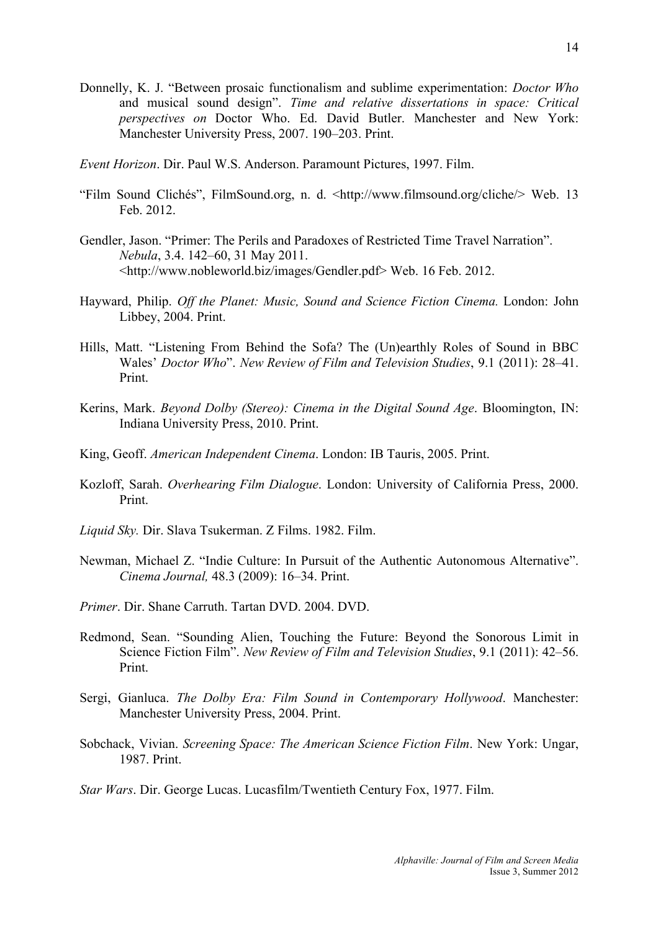- Donnelly, K. J. "Between prosaic functionalism and sublime experimentation: *Doctor Who* and musical sound design". *Time and relative dissertations in space: Critical perspectives on* Doctor Who. Ed. David Butler. Manchester and New York: Manchester University Press, 2007. 190–203. Print.
- *Event Horizon*. Dir. Paul W.S. Anderson. Paramount Pictures, 1997. Film.
- "Film Sound Clichés", FilmSound.org, n. d. <http://www.filmsound.org/cliche/> Web. 13 Feb. 2012.
- Gendler, Jason. "Primer: The Perils and Paradoxes of Restricted Time Travel Narration". *Nebula*, 3.4. 142–60, 31 May 2011. <http://www.nobleworld.biz/images/Gendler.pdf> Web. 16 Feb. 2012.
- Hayward, Philip. *Off the Planet: Music, Sound and Science Fiction Cinema.* London: John Libbey, 2004. Print.
- Hills, Matt. "Listening From Behind the Sofa? The (Un)earthly Roles of Sound in BBC Wales' *Doctor Who*". *New Review of Film and Television Studies*, 9.1 (2011): 28–41. Print.
- Kerins, Mark. *Beyond Dolby (Stereo): Cinema in the Digital Sound Age*. Bloomington, IN: Indiana University Press, 2010. Print.
- King, Geoff. *American Independent Cinema*. London: IB Tauris, 2005. Print.
- Kozloff, Sarah. *Overhearing Film Dialogue*. London: University of California Press, 2000. Print.
- *Liquid Sky.* Dir. Slava Tsukerman. Z Films. 1982. Film.
- Newman, Michael Z. "Indie Culture: In Pursuit of the Authentic Autonomous Alternative". *Cinema Journal,* 48.3 (2009): 16–34. Print.
- *Primer*. Dir. Shane Carruth. Tartan DVD. 2004. DVD.
- Redmond, Sean. "Sounding Alien, Touching the Future: Beyond the Sonorous Limit in Science Fiction Film". *New Review of Film and Television Studies*, 9.1 (2011): 42–56. Print.
- Sergi, Gianluca. *The Dolby Era: Film Sound in Contemporary Hollywood*. Manchester: Manchester University Press, 2004. Print.
- Sobchack, Vivian. *Screening Space: The American Science Fiction Film*. New York: Ungar, 1987. Print.
- *Star Wars*. Dir. George Lucas. Lucasfilm/Twentieth Century Fox, 1977. Film.